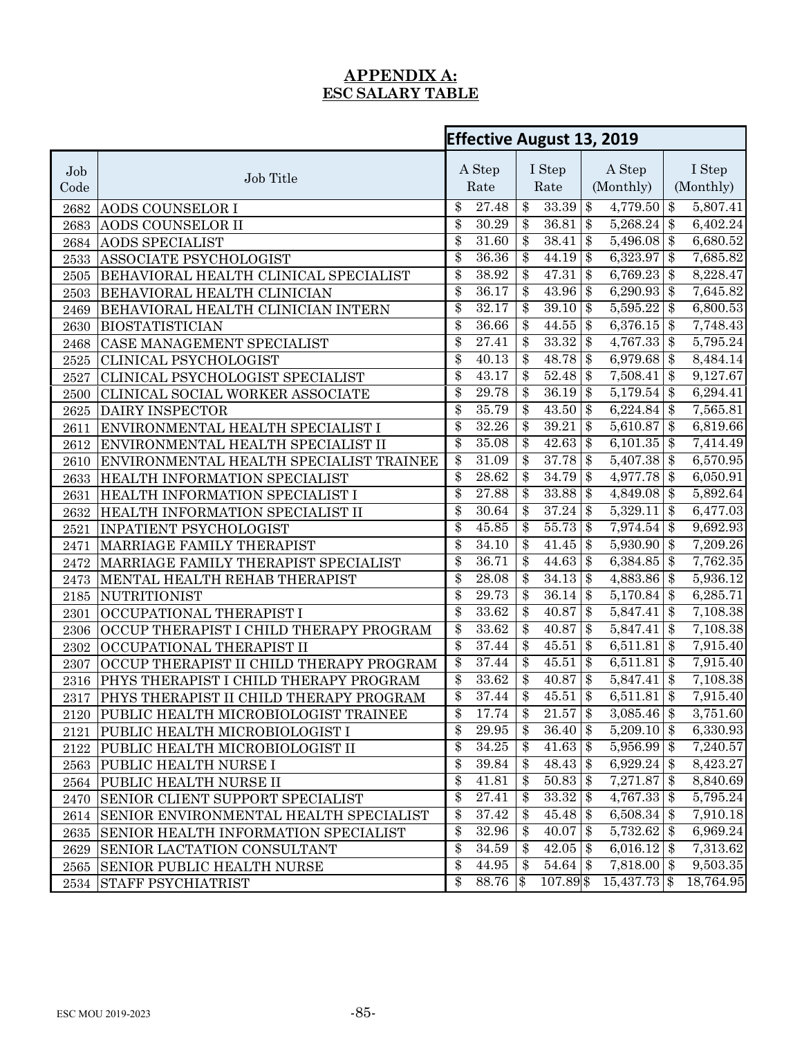## **APPENDIX A: ESC SALARY TABLE**

|            |                                             |                  |                    | <b>Effective August 13, 2019</b> |             |                        |  |           |  |  |
|------------|---------------------------------------------|------------------|--------------------|----------------------------------|-------------|------------------------|--|-----------|--|--|
| Job        |                                             |                  | A Step             |                                  | I Step      | A Step                 |  | I Step    |  |  |
| Code       | Job Title                                   |                  | Rate               |                                  | Rate        | (Monthly)              |  | (Monthly) |  |  |
| 2682       | AODS COUNSELOR I                            | \$               | 27.48              | $\overline{\$}$<br>$33.39$ \$    |             | $4,779.50$ \$          |  | 5,807.41  |  |  |
| 2683       | AODS COUNSELOR II                           | $\overline{\$}$  | 30.29              | $\overline{\$}$                  | $36.81$ \$  | $5,268.24$ \$          |  | 6,402.24  |  |  |
| 2684       | <b>AODS SPECIALIST</b>                      | $\overline{\$}$  | 31.60              | $\overline{\$}$                  | $38.41$ \$  | $5,496.08$ \$          |  | 6,680.52  |  |  |
| 2533       | <b>ASSOCIATE PSYCHOLOGIST</b>               | \$               | 36.36              | \$                               | $44.19$ \$  | $6,323.97$ \$          |  | 7,685.82  |  |  |
| 2505       | BEHAVIORAL HEALTH CLINICAL SPECIALIST       | \$               | 38.92              | \$                               | $47.31$ \$  | $6,769.23$ \$          |  | 8,228.47  |  |  |
| 2503       | BEHAVIORAL HEALTH CLINICIAN                 | \$               | 36.17              | \$                               | $43.96$ \$  | $6,290.93$ \$          |  | 7,645.82  |  |  |
| 2469       | BEHAVIORAL HEALTH CLINICIAN INTERN          | \$               | 32.17              | \$                               | $39.10$ \$  | $5,595.22$ \$          |  | 6,800.53  |  |  |
| 2630       | <b>BIOSTATISTICIAN</b>                      | \$               | 36.66              | $\overline{\$\}$                 | $44.55$ \$  | $6,376.15$ \$          |  | 7,748.43  |  |  |
| 2468       | CASE MANAGEMENT SPECIALIST                  | $\overline{\$}$  | $\overline{27.41}$ | \$                               | $33.32$ \$  | $4,767.33$ \$          |  | 5,795.24  |  |  |
| 2525       | CLINICAL PSYCHOLOGIST                       | $\overline{\$}$  | 40.13              | $\overline{\$}$                  | $48.78$ \$  | $6,979.68$ \$          |  | 8,484.14  |  |  |
| 2527       | CLINICAL PSYCHOLOGIST SPECIALIST            | $\overline{\$}$  | 43.17              | $\overline{\$}$                  | $52.48$ \$  | $7,508.41$ \$          |  | 9,127.67  |  |  |
| 2500       | CLINICAL SOCIAL WORKER ASSOCIATE            | \$               | 29.78              | \$                               | $36.19$ \$  | $5,179.54$ \$          |  | 6,294.41  |  |  |
| $2625\,$   | <b>DAIRY INSPECTOR</b>                      | \$               | 35.79              | \$                               | $43.50$ \$  | 6,224.84 \\$           |  | 7,565.81  |  |  |
| 2611       | ENVIRONMENTAL HEALTH SPECIALIST I           | $\overline{\$}$  | 32.26              | \$                               | $39.21$ \$  | $5,610.87$ \$          |  | 6,819.66  |  |  |
| 2612       | ENVIRONMENTAL HEALTH SPECIALIST II          | \$               | 35.08              | $\overline{\$\}$                 | $42.63$ \$  | $6,101.35$ \$          |  | 7,414.49  |  |  |
| 2610       | ENVIRONMENTAL HEALTH SPECIALIST TRAINEE     | $\overline{\$}$  | 31.09              | \$                               | $37.78$ \$  | $5,407.38$ \$          |  | 6,570.95  |  |  |
| 2633       | HEALTH INFORMATION SPECIALIST               | $\overline{\$\}$ | 28.62              | \$                               | $34.79$ \$  | 4,977.78 \$            |  | 6,050.91  |  |  |
| 2631       | HEALTH INFORMATION SPECIALIST I             | \$               | 27.88              | \$                               | $33.88$ \$  | $4,849.08$ \$          |  | 5,892.64  |  |  |
| 2632       | HEALTH INFORMATION SPECIALIST II            | \$               | 30.64              | \$                               | $37.24$ \$  | $5,329.11$ \$          |  | 6,477.03  |  |  |
| 2521       | <b>INPATIENT PSYCHOLOGIST</b>               | \$               | 45.85              | \$                               | $55.73$ \$  | $7,974.54$ \$          |  | 9,692.93  |  |  |
| 2471       | MARRIAGE FAMILY THERAPIST                   | \$               | 34.10              | \$                               | $41.45$ \$  | $5,930.90$ \$          |  | 7,209.26  |  |  |
| 2472       | MARRIAGE FAMILY THERAPIST SPECIALIST        | \$               | 36.71              | \$                               | $44.63$ \$  | $6,384.85$ \$          |  | 7,762.35  |  |  |
| 2473       | MENTAL HEALTH REHAB THERAPIST               | \$               | 28.08              | \$                               | $34.13$ \$  | 4,883.86 \$            |  | 5,936.12  |  |  |
| 2185       | <b>NUTRITIONIST</b>                         | $\overline{\$\}$ | 29.73              | \$                               | $36.14$ \$  | $5,170.84$ \$          |  | 6,285.71  |  |  |
| 2301       | OCCUPATIONAL THERAPIST I                    | \$               | 33.62              | \$                               | 40.87       | $\$\$<br>$5,847.41$ \$ |  | 7,108.38  |  |  |
| 2306       | OCCUP THERAPIST I CHILD THERAPY PROGRAM     | $\overline{\$}$  | 33.62              | \$                               | $40.87$ \$  | $5,847.41$ \$          |  | 7,108.38  |  |  |
| $\,2302\,$ | OCCUPATIONAL THERAPIST II                   | \$               | 37.44              | \$                               | $45.51$ \$  | $6,511.81$ \$          |  | 7,915.40  |  |  |
| 2307       | OCCUP THERAPIST II CHILD THERAPY PROGRAM    | $\overline{\$}$  | 37.44              | \$                               | $45.51$ \$  | $6,511.81$ \$          |  | 7,915.40  |  |  |
| 2316       | PHYS THERAPIST I CHILD THERAPY PROGRAM      | $\overline{\$}$  | 33.62              | $\overline{\$}$                  |             | $5,847.41$ \$          |  | 7,108.38  |  |  |
| 2317       | PHYS THERAPIST II CHILD THERAPY PROGRAM     | $\overline{\$}$  | 37.44              | $\overline{\$}$                  | $45.51$ \$  | $6,511.81$ \$          |  | 7,915.40  |  |  |
|            | 2120 PUBLIC HEALTH MICROBIOLOGIST TRAINEE   | \$               | 17.74              | $\overline{\$}$                  | $21.57$ \$  | $3,085.46$ \$          |  | 3,751.60  |  |  |
| 2121       | PUBLIC HEALTH MICROBIOLOGIST I              | \$               | 29.95              | \$                               | $36.40$ \\$ | $5,209.10$ \$          |  | 6,330.93  |  |  |
| 2122       | PUBLIC HEALTH MICROBIOLOGIST II             | \$               | 34.25              | \$                               | $41.63$ \$  | 5,956.99 \$            |  | 7,240.57  |  |  |
| 2563       | <b>PUBLIC HEALTH NURSE I</b>                | \$               | 39.84              | \$                               | $48.43$ \\$ | 6,929.24 \$            |  | 8,423.27  |  |  |
| 2564       | <b>PUBLIC HEALTH NURSE II</b>               | \$               | 41.81              | \$                               | $50.83$ \$  | $7,271.87$ \$          |  | 8,840.69  |  |  |
| 2470       | <b>SENIOR CLIENT SUPPORT SPECIALIST</b>     | \$               | 27.41              | \$                               | $33.32$ \$  | $4,767.33$ \\$         |  | 5,795.24  |  |  |
| 2614       | SENIOR ENVIRONMENTAL HEALTH SPECIALIST      | \$               | 37.42              | \$                               | $45.48$ \$  | $6,508.34$ \$          |  | 7,910.18  |  |  |
| 2635       | <b>SENIOR HEALTH INFORMATION SPECIALIST</b> | \$               | 32.96              | \$                               |             | $5,732.62$ \$          |  | 6,969.24  |  |  |
| 2629       | <b>SENIOR LACTATION CONSULTANT</b>          | \$               | 34.59              | \$                               | $42.05$ \$  | 6,016.12 \\$           |  | 7,313.62  |  |  |
|            | 2565 SENIOR PUBLIC HEALTH NURSE             | $\frac{1}{2}$    | 44.95              | $\$\$                            | $54.64$ \$  | $7,818.00$ \$          |  | 9,503.35  |  |  |
| 2534       | <b>STAFF PSYCHIATRIST</b>                   | \$               | 88.76 \$           |                                  | 107.89 \$   | $15,437.73$ \$         |  | 18,764.95 |  |  |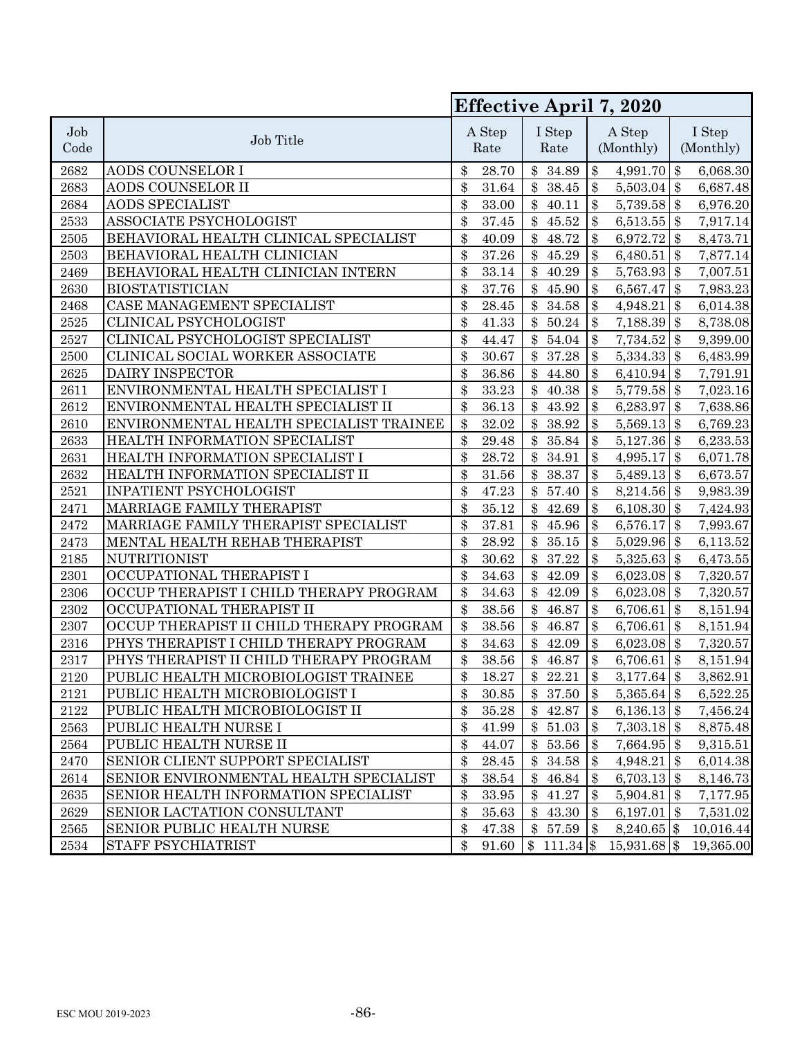|             |                                          | Effective April 7, 2020 |                |    |                |                            |                     |  |                     |
|-------------|------------------------------------------|-------------------------|----------------|----|----------------|----------------------------|---------------------|--|---------------------|
| Job<br>Code | Job Title                                |                         | A Step<br>Rate |    | I Step<br>Rate |                            | A Step<br>(Monthly) |  | I Step<br>(Monthly) |
| 2682        | AODS COUNSELOR I                         | \$                      | 28.70          |    | \$34.89        | \$                         | 4,991.70 \$         |  | 6,068.30            |
| 2683        | AODS COUNSELOR II                        | \$                      | 31.64          | \$ | 38.45          | \$                         | $5,503.04$ \$       |  | 6,687.48            |
| 2684        | <b>AODS SPECIALIST</b>                   | \$                      | $33.00\,$      | \$ | 40.11          | $\boldsymbol{\$}$          | $5,739.58$ \$       |  | 6,976.20            |
| 2533        | ASSOCIATE PSYCHOLOGIST                   | \$                      | 37.45          | \$ | 45.52          | $\boldsymbol{\$\}$         | $6,513.55$ \$       |  | 7,917.14            |
| 2505        | BEHAVIORAL HEALTH CLINICAL SPECIALIST    | \$                      | 40.09          | \$ | 48.72          | $\$\$                      | 6,972.72 \$         |  | 8,473.71            |
| 2503        | BEHAVIORAL HEALTH CLINICIAN              | \$                      | 37.26          | \$ | 45.29          | $\$\$                      | 6,480.51 \\$        |  | 7,877.14            |
| 2469        | BEHAVIORAL HEALTH CLINICIAN INTERN       | \$                      | $33.14\,$      | \$ | 40.29          | $\$\$                      | $5,763.93$ \$       |  | 7,007.51            |
| 2630        | <b>BIOSTATISTICIAN</b>                   | \$                      | 37.76          | \$ | 45.90          | $\$\$                      | 6,567.47 \\$        |  | 7,983.23            |
| 2468        | CASE MANAGEMENT SPECIALIST               | \$                      | 28.45          | \$ | 34.58          | $\$\$                      | $4,948.21$ \$       |  | 6,014.38            |
| 2525        | <b>CLINICAL PSYCHOLOGIST</b>             | \$                      | 41.33          | \$ | 50.24          | $\$\$                      | 7,188.39 \$         |  | 8,738.08            |
| 2527        | CLINICAL PSYCHOLOGIST SPECIALIST         | \$                      | 44.47          | \$ | 54.04          | $\boldsymbol{\mathsf{\$}}$ | $7,734.52$ \$       |  | 9,399.00            |
| 2500        | CLINICAL SOCIAL WORKER ASSOCIATE         | \$                      | 30.67          | \$ | 37.28          | $\$\$                      | $5,334.33$ \$       |  | 6,483.99            |
| 2625        | DAIRY INSPECTOR                          | \$                      | 36.86          | \$ | 44.80          | $\$\$                      | 6,410.94 \$         |  | 7,791.91            |
| 2611        | ENVIRONMENTAL HEALTH SPECIALIST I        | \$                      | 33.23          | \$ | 40.38          | $\$\$                      | $5,779.58$ \$       |  | 7,023.16            |
| 2612        | ENVIRONMENTAL HEALTH SPECIALIST II       | \$                      | $36.13\,$      | \$ | 43.92          | $\$\$                      | 6,283.97 \$         |  | 7,638.86            |
| 2610        | ENVIRONMENTAL HEALTH SPECIALIST TRAINEE  | \$                      | 32.02          | \$ | 38.92          | \$                         | $5,569.13$ \$       |  | 6,769.23            |
| 2633        | HEALTH INFORMATION SPECIALIST            | \$                      | 29.48          | \$ | 35.84          | $\$\$                      | $5,127.36$ \$       |  | 6,233.53            |
| 2631        | HEALTH INFORMATION SPECIALIST I          | \$                      | 28.72          | \$ | $34.91\,$      | $\boldsymbol{\mathsf{\$}}$ | $4,995.17$ \$       |  | 6,071.78            |
| 2632        | HEALTH INFORMATION SPECIALIST II         | \$                      | $31.56\,$      | \$ | 38.37          | $\boldsymbol{\mathsf{\$}}$ | $5,489.13$ \$       |  | 6,673.57            |
| 2521        | INPATIENT PSYCHOLOGIST                   | \$                      | 47.23          | \$ | 57.40          | $\$\$                      | $8,214.56$ \$       |  | 9,983.39            |
| 2471        | MARRIAGE FAMILY THERAPIST                | \$                      | 35.12          | \$ | 42.69          | $\boldsymbol{\mathcal{S}}$ | 6,108.30 \$         |  | 7,424.93            |
| 2472        | MARRIAGE FAMILY THERAPIST SPECIALIST     | \$                      | 37.81          | \$ | 45.96          | $\boldsymbol{\$}$          | 6,576.17 \\$        |  | 7,993.67            |
| 2473        | MENTAL HEALTH REHAB THERAPIST            | \$                      | 28.92          | \$ | 35.15          | $\$\$                      | $5,029.96$ \$       |  | 6,113.52            |
| 2185        | <b>NUTRITIONIST</b>                      | \$                      | 30.62          | \$ | 37.22          | $\$\$                      | $5,325.63$ \$       |  | 6,473.55            |
| 2301        | OCCUPATIONAL THERAPIST I                 | \$                      | 34.63          | \$ | 42.09          | $\boldsymbol{\$\}$         | $6,023.08$ \$       |  | 7,320.57            |
| 2306        | OCCUP THERAPIST I CHILD THERAPY PROGRAM  | \$                      | 34.63          | \$ | 42.09          | $\boldsymbol{\$\}$         | $6,023.08$ \$       |  | 7,320.57            |
| 2302        | OCCUPATIONAL THERAPIST II                | \$                      | $38.56\,$      | \$ | 46.87          | $\$\$                      | $6,706.61$ \$       |  | 8,151.94            |
| 2307        | OCCUP THERAPIST II CHILD THERAPY PROGRAM | \$                      | 38.56          | \$ | 46.87          | $\$\$                      | 6,706.61 \\$        |  | 8,151.94            |
| 2316        | PHYS THERAPIST I CHILD THERAPY PROGRAM   | \$                      | 34.63          | \$ | 42.09          | $\$\$                      | $6,023.08$ \$       |  | 7,320.57            |
| 2317        | PHYS THERAPIST II CHILD THERAPY PROGRAM  | \$                      | $38.56\,$      | \$ | 46.87          | $\boldsymbol{\$}$          | $6,706.61$ \$       |  | 8,151.94            |
| 2120        | PUBLIC HEALTH MICROBIOLOGIST TRAINEE     | \$                      | 18.27          | \$ | 22.21          | $\boldsymbol{\$\}$         | $3,177.64$ \$       |  | 3,862.91            |
| 2121        | PUBLIC HEALTH MICROBIOLOGIST I           | \$                      | 30.85          |    | \$37.50        | \$                         | $5,365.64$ \$       |  | 6,522.25            |
| 2122        | PUBLIC HEALTH MICROBIOLOGIST II          | \$                      | 35.28          | \$ | 42.87          | \$                         | 6,136.13   $\$      |  | 7,456.24            |
| 2563        | PUBLIC HEALTH NURSE I                    | \$                      | 41.99          | \$ | 51.03          | \$                         | $7,303.18$ \$       |  | 8,875.48            |
| 2564        | PUBLIC HEALTH NURSE II                   | \$                      | 44.07          | \$ | 53.56          | \$                         | $7,664.95$ \$       |  | 9,315.51            |
| 2470        | SENIOR CLIENT SUPPORT SPECIALIST         | \$                      | $28.45\,$      | \$ | 34.58          | \$                         | $4,948.21$ \$       |  | 6,014.38            |
| 2614        | SENIOR ENVIRONMENTAL HEALTH SPECIALIST   | \$                      | 38.54          | \$ | 46.84          | \$                         | $6,703.13$ \$       |  | 8,146.73            |
| 2635        | SENIOR HEALTH INFORMATION SPECIALIST     | \$                      | 33.95          | \$ | 41.27          | \$                         | $5,904.81$ \$       |  | 7,177.95            |
| 2629        | SENIOR LACTATION CONSULTANT              | \$                      | 35.63          | \$ | 43.30          | \$                         | 6,197.01 \\$        |  | 7,531.02            |
| 2565        | SENIOR PUBLIC HEALTH NURSE               | \$                      | 47.38          | \$ | 57.59          | $\$\$                      | $8,240.65$ \$       |  | 10,016.44           |
| 2534        | STAFF PSYCHIATRIST                       | \$                      | 91.60          |    | \$111.34       |                            | 15,931.68 \$        |  | 19,365.00           |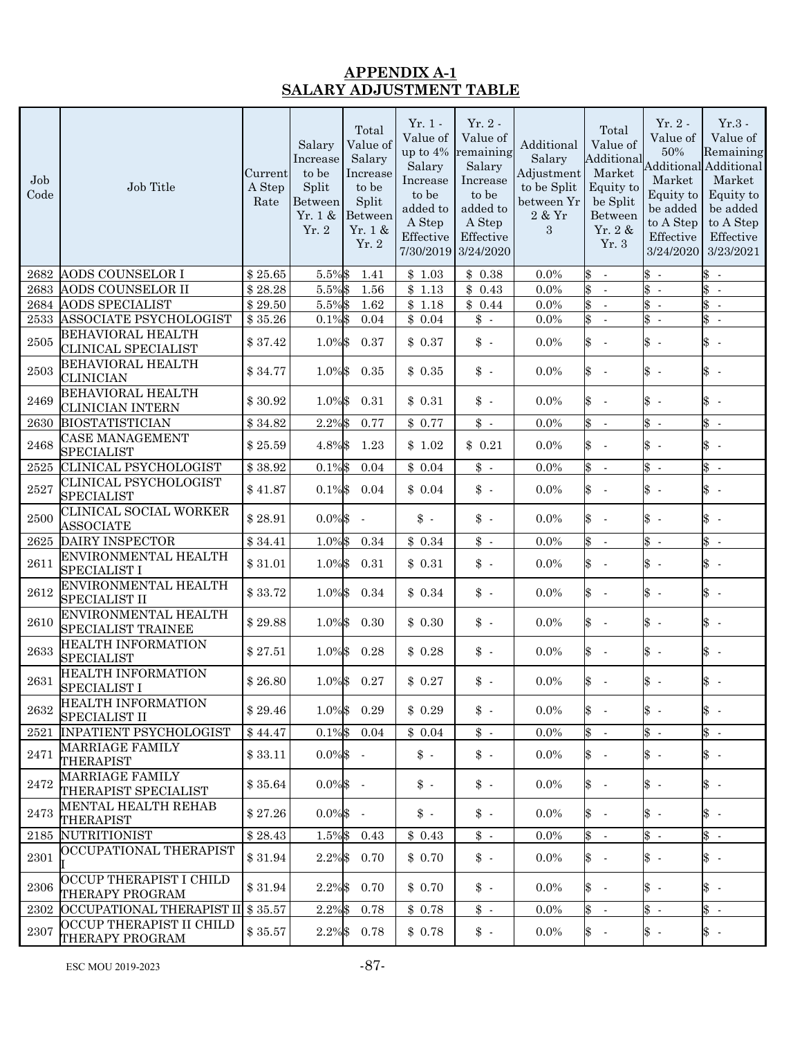## **APPENDIX A-1 SALARY ADJUSTMENT TABLE**

| Job<br>Code         | Job Title                                              | Current<br>A Step<br>Rate | Salary<br>Increase<br>to be<br>Split<br>Between<br>Yr. 1 &<br>Yr.2 | Total<br>Value of<br>Salary<br>Increase<br>to be<br>Split<br>Between<br>Yr. 1 &<br>Yr. 2 | $Yr.1$ .<br>Value of<br>up to 4%<br>Salary<br>Increase<br>to be<br>added to<br>A Step<br>Effective<br>7/30/2019 | $Yr.2$ -<br>Value of<br>remaining<br>Salary<br>Increase<br>to be<br>added to<br>A Step<br>Effective<br>3/24/2020 | Additional<br>Salary<br>Adjustment<br>to be Split<br>between Yr<br>$2~\&~\mathrm{Yr}$<br>3 | Total<br>Value of<br>Additional<br>Market<br>Equity to<br>be Split<br>Between<br>Yr. $2 &$<br>Yr. 3 | $Yr.2$ -<br>Value of<br>50%<br>Market<br>Equity to<br>be added<br>to A Step<br>Effective<br>3/24/2020 | $Yr.3$ -<br>Value of<br>Remaining<br><b>Additional Additional</b><br>Market<br>Equity to<br>be added<br>to A Step<br>Effective<br>3/23/2021 |
|---------------------|--------------------------------------------------------|---------------------------|--------------------------------------------------------------------|------------------------------------------------------------------------------------------|-----------------------------------------------------------------------------------------------------------------|------------------------------------------------------------------------------------------------------------------|--------------------------------------------------------------------------------------------|-----------------------------------------------------------------------------------------------------|-------------------------------------------------------------------------------------------------------|---------------------------------------------------------------------------------------------------------------------------------------------|
| 2682                | <b>AODS COUNSELOR I</b>                                | \$25.65                   | 5.5%\$                                                             | 1.41                                                                                     | \$1.03                                                                                                          | \$0.38                                                                                                           | $0.0\%$                                                                                    | \$<br>$\sim$                                                                                        | $\updownarrow$ -                                                                                      | $\updownarrow$ -                                                                                                                            |
| 2683                | AODS COUNSELOR II                                      | \$28.28                   | 5.5%\$                                                             | 1.56                                                                                     | \$1.13                                                                                                          | \$0.43                                                                                                           | $0.0\%$                                                                                    | \$<br>$\sim$                                                                                        | $\frac{1}{2}$                                                                                         | $\updownarrow$ -                                                                                                                            |
| 2684                | <b>AODS SPECIALIST</b>                                 | \$29.50                   | 5.5%\$                                                             | 1.62                                                                                     | \$1.18                                                                                                          | \$0.44                                                                                                           | $0.0\%$                                                                                    | \$<br>$\sim$                                                                                        | $\frac{3}{5}$ .                                                                                       | $\frac{1}{2}$                                                                                                                               |
| 2533                | ASSOCIATE PSYCHOLOGIST                                 | \$35.26                   | $0.1\%$ \$                                                         | 0.04                                                                                     | \$0.04                                                                                                          | $\updownarrow$ .                                                                                                 | $0.0\%$                                                                                    | \$<br>$\sim$                                                                                        | $\frac{1}{2}$                                                                                         | $\updownarrow$ -                                                                                                                            |
| $2505\,$            | <b>BEHAVIORAL HEALTH</b><br><b>CLINICAL SPECIALIST</b> | \$37.42                   | 1.0%\$                                                             | 0.37                                                                                     | \$0.37                                                                                                          | $\updownarrow$ .                                                                                                 | $0.0\%$                                                                                    | \$<br>$\sim$                                                                                        | $\updownarrow$ -                                                                                      | $\updownarrow$ -                                                                                                                            |
| $\boldsymbol{2503}$ | <b>BEHAVIORAL HEALTH</b><br><b>CLINICIAN</b>           | \$34.77                   | 1.0%\$                                                             | 0.35                                                                                     | \$0.35                                                                                                          | $\updownarrow$ .                                                                                                 | $0.0\%$                                                                                    | $\frac{3}{5}$<br>$\mathcal{A}$                                                                      | $\updownarrow$ -                                                                                      | $\updownarrow$ -                                                                                                                            |
| $\boldsymbol{2469}$ | BEHAVIORAL HEALTH<br>CLINICIAN INTERN                  | \$30.92                   | 1.0%\$                                                             | 0.31                                                                                     | \$0.31                                                                                                          | $\updownarrow$ .                                                                                                 | $0.0\%$                                                                                    | \$<br>$\sim$                                                                                        | $\updownarrow$ -                                                                                      | $\updownarrow$ -                                                                                                                            |
| 2630                | <b>BIOSTATISTICIAN</b>                                 | \$34.82                   | 2.2%\$                                                             | 0.77                                                                                     | \$0.77                                                                                                          | $\updownarrow$ .                                                                                                 | $0.0\%$                                                                                    | \$<br>$\sim$                                                                                        | $\frac{3}{5}$ .                                                                                       | $\updownarrow$ -                                                                                                                            |
| 2468                | <b>CASE MANAGEMENT</b><br><b>SPECIALIST</b>            | \$25.59                   | 4.8%\$                                                             | 1.23                                                                                     | \$1.02                                                                                                          | \$0.21                                                                                                           | 0.0%                                                                                       | \$<br>$\mathcal{A}$                                                                                 | $\updownarrow$ -                                                                                      | $\updownarrow$ -                                                                                                                            |
| 2525                | CLINICAL PSYCHOLOGIST                                  | \$38.92                   | $0.1\%$ \$                                                         | 0.04                                                                                     | \$0.04                                                                                                          | $\updownarrow$ .                                                                                                 | 0.0%                                                                                       | \$<br>$\sim$                                                                                        | $\updownarrow$ -                                                                                      | $\updownarrow$ -                                                                                                                            |
| 2527                | <b>CLINICAL PSYCHOLOGIST</b><br><b>SPECIALIST</b>      | \$41.87                   | $0.1\%$ \$                                                         | 0.04                                                                                     | \$0.04                                                                                                          | $\updownarrow$ .                                                                                                 | 0.0%                                                                                       | \$<br>$\mathcal{A}$                                                                                 | $\updownarrow$ -                                                                                      | $\updownarrow$ -                                                                                                                            |
| 2500                | CLINICAL SOCIAL WORKER<br><b>ASSOCIATE</b>             | \$28.91                   | $0.0\%$ \$                                                         |                                                                                          | $\updownarrow$ .                                                                                                | $\updownarrow$ .                                                                                                 | $0.0\%$                                                                                    | \$<br>$\sim$                                                                                        | $\uparrow$ -                                                                                          | $\updownarrow$ -                                                                                                                            |
| 2625                | DAIRY INSPECTOR                                        | \$34.41                   | 1.0%\$                                                             | 0.34                                                                                     | \$0.34                                                                                                          | $\updownarrow$ .                                                                                                 | $0.0\%$                                                                                    | \$<br>$\sim$                                                                                        | $\frac{1}{2}$                                                                                         | $\updownarrow$ -                                                                                                                            |
| 2611                | ENVIRONMENTAL HEALTH<br><b>SPECIALIST I</b>            | \$31.01                   | 1.0%\$                                                             | 0.31                                                                                     | \$0.31                                                                                                          | $\updownarrow$ .                                                                                                 | $0.0\%$                                                                                    | $\frac{1}{2}$<br>$\sim$                                                                             | $\uparrow$ -                                                                                          | $\updownarrow$ -                                                                                                                            |
| 2612                | ENVIRONMENTAL HEALTH<br><b>SPECIALIST II</b>           | \$33.72                   | 1.0%\$                                                             | 0.34                                                                                     | \$0.34                                                                                                          | $\updownarrow$ .                                                                                                 | $0.0\%$                                                                                    | \$<br>$\sim$                                                                                        | $\updownarrow$ -                                                                                      | $\updownarrow$ -                                                                                                                            |
| $2610\,$            | ENVIRONMENTAL HEALTH<br>SPECIALIST TRAINEE             | \$29.88                   | 1.0%\$                                                             | 0.30                                                                                     | \$0.30                                                                                                          | $\updownarrow$ .                                                                                                 | $0.0\%$                                                                                    | \$<br>$\sim$                                                                                        | $\updownarrow$ -                                                                                      | $\updownarrow$ -                                                                                                                            |
| 2633                | HEALTH INFORMATION<br><b>SPECIALIST</b>                | \$27.51                   | 1.0%\$                                                             | 0.28                                                                                     | \$0.28                                                                                                          | $\updownarrow$ .                                                                                                 | $0.0\%$                                                                                    | \$<br>$\sim$                                                                                        | $\uparrow$ -                                                                                          | $\updownarrow$ -                                                                                                                            |
| 2631                | HEALTH INFORMATION<br>SPECIALIST I                     | \$26.80                   | $1.0\%$ \$                                                         | 0.27                                                                                     | \$0.27                                                                                                          | $\updownarrow$ .                                                                                                 | 0.0%                                                                                       | $\mathcal{S}$<br>$\sim$                                                                             | $\updownarrow$ -                                                                                      | $\updownarrow$ -                                                                                                                            |
| 2632                | HEALTH INFORMATION<br><b>SPECIALIST II</b>             | \$29.46                   |                                                                    | 1.0%\$ 0.29                                                                              | \$0.29                                                                                                          | $\updownarrow$ .                                                                                                 | 0.0%                                                                                       | \$<br>$\sim$                                                                                        | $\uparrow$ -                                                                                          | $\updownarrow$ -                                                                                                                            |
| 2521                | <b>INPATIENT PSYCHOLOGIST</b>                          | \$44.47                   | $0.1\%$ \$                                                         | 0.04                                                                                     | \$0.04                                                                                                          | $\updownarrow$ -                                                                                                 | $0.0\%$                                                                                    | $\updownarrow$ -                                                                                    | $\frac{3}{2}$ .                                                                                       | $\updownarrow$ -                                                                                                                            |
| 2471                | MARRIAGE FAMILY<br>THERAPIST                           | \$33.11                   | $0.0\%$ \$ -                                                       |                                                                                          | $\updownarrow$ .                                                                                                | $\updownarrow$ .                                                                                                 | $0.0\%$                                                                                    | \$-                                                                                                 | \$-                                                                                                   | $\updownarrow$ -                                                                                                                            |
| 2472                | <b>MARRIAGE FAMILY</b><br>THERAPIST SPECIALIST         | \$35.64                   | $0.0\%$ \$ -                                                       |                                                                                          | $\updownarrow$ .                                                                                                | $\updownarrow$ .                                                                                                 | $0.0\%$                                                                                    | $\updownarrow$ -                                                                                    | $\updownarrow$ -                                                                                      | $\updownarrow$ -                                                                                                                            |
| 2473                | MENTAL HEALTH REHAB<br><b>THERAPIST</b>                | \$27.26                   | $0.0\%$ \$ -                                                       |                                                                                          | $\updownarrow$ .                                                                                                | $\updownarrow$ .                                                                                                 | $0.0\%$                                                                                    | $\updownarrow$ -                                                                                    | $\uparrow$ -                                                                                          | $\updownarrow$ -                                                                                                                            |
|                     | 2185 NUTRITIONIST                                      | \$28.43                   | $1.5\%$ \$                                                         | 0.43                                                                                     | \$0.43                                                                                                          | $\updownarrow$ -                                                                                                 | $0.0\%$                                                                                    | $\updownarrow$ -                                                                                    | $\frac{3}{5}$ -                                                                                       | $\updownarrow$ -                                                                                                                            |
| 2301                | OCCUPATIONAL THERAPIST                                 | \$31.94                   | 2.2%\$                                                             | 0.70                                                                                     | \$0.70                                                                                                          | \$ -                                                                                                             | $0.0\%$                                                                                    | $\$\;$                                                                                              | \$-                                                                                                   | $\updownarrow$ -                                                                                                                            |
| 2306                | OCCUP THERAPIST I CHILD<br>THERAPY PROGRAM             | \$31.94                   | 2.2%\$                                                             | 0.70                                                                                     | \$0.70                                                                                                          | $\updownarrow$ .                                                                                                 | $0.0\%$                                                                                    | $\updownarrow$ -                                                                                    | $\uparrow$ -                                                                                          | $\updownarrow$ -                                                                                                                            |
| 2302                | OCCUPATIONAL THERAPIST II \$35.57                      |                           | 2.2%\$                                                             | 0.78                                                                                     | \$0.78                                                                                                          | $\updownarrow$ .                                                                                                 | $0.0\%$                                                                                    | $\updownarrow$ -                                                                                    | $\updownarrow$ -                                                                                      | $\updownarrow$ -                                                                                                                            |
| 2307                | OCCUP THERAPIST II CHILD<br>THERAPY PROGRAM            | \$35.57                   | 2.2%\$                                                             | 0.78                                                                                     | \$0.78                                                                                                          | $\updownarrow$ .                                                                                                 | $0.0\%$                                                                                    | $\updownarrow$ -                                                                                    | $\updownarrow$ -                                                                                      | $\updownarrow$ -                                                                                                                            |